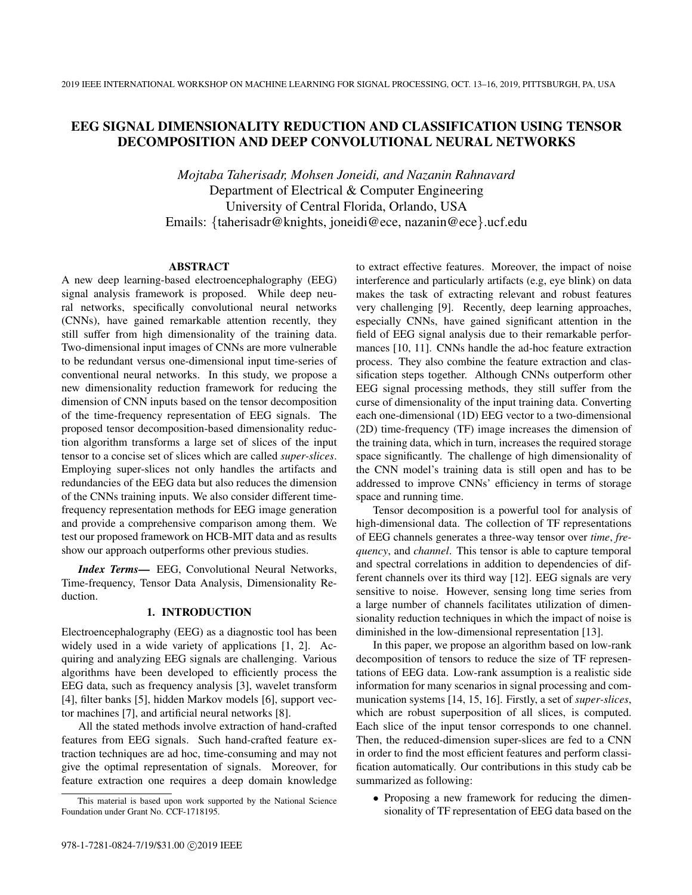# EEG SIGNAL DIMENSIONALITY REDUCTION AND CLASSIFICATION USING TENSOR DECOMPOSITION AND DEEP CONVOLUTIONAL NEURAL NETWORKS

*Mojtaba Taherisadr, Mohsen Joneidi, and Nazanin Rahnavard* Department of Electrical & Computer Engineering University of Central Florida, Orlando, USA Emails: {taherisadr@knights, joneidi@ece, nazanin@ece}.ucf.edu

### ABSTRACT

A new deep learning-based electroencephalography (EEG) signal analysis framework is proposed. While deep neural networks, specifically convolutional neural networks (CNNs), have gained remarkable attention recently, they still suffer from high dimensionality of the training data. Two-dimensional input images of CNNs are more vulnerable to be redundant versus one-dimensional input time-series of conventional neural networks. In this study, we propose a new dimensionality reduction framework for reducing the dimension of CNN inputs based on the tensor decomposition of the time-frequency representation of EEG signals. The proposed tensor decomposition-based dimensionality reduction algorithm transforms a large set of slices of the input tensor to a concise set of slices which are called *super-slices*. Employing super-slices not only handles the artifacts and redundancies of the EEG data but also reduces the dimension of the CNNs training inputs. We also consider different timefrequency representation methods for EEG image generation and provide a comprehensive comparison among them. We test our proposed framework on HCB-MIT data and as results show our approach outperforms other previous studies.

*Index Terms*— EEG, Convolutional Neural Networks, Time-frequency, Tensor Data Analysis, Dimensionality Reduction.

#### 1. INTRODUCTION

Electroencephalography (EEG) as a diagnostic tool has been widely used in a wide variety of applications [1, 2]. Acquiring and analyzing EEG signals are challenging. Various algorithms have been developed to efficiently process the EEG data, such as frequency analysis [3], wavelet transform [4], filter banks [5], hidden Markov models [6], support vector machines [7], and artificial neural networks [8].

All the stated methods involve extraction of hand-crafted features from EEG signals. Such hand-crafted feature extraction techniques are ad hoc, time-consuming and may not give the optimal representation of signals. Moreover, for feature extraction one requires a deep domain knowledge to extract effective features. Moreover, the impact of noise interference and particularly artifacts (e.g, eye blink) on data makes the task of extracting relevant and robust features very challenging [9]. Recently, deep learning approaches, especially CNNs, have gained significant attention in the field of EEG signal analysis due to their remarkable performances [10, 11]. CNNs handle the ad-hoc feature extraction process. They also combine the feature extraction and classification steps together. Although CNNs outperform other EEG signal processing methods, they still suffer from the curse of dimensionality of the input training data. Converting each one-dimensional (1D) EEG vector to a two-dimensional (2D) time-frequency (TF) image increases the dimension of the training data, which in turn, increases the required storage space significantly. The challenge of high dimensionality of the CNN model's training data is still open and has to be addressed to improve CNNs' efficiency in terms of storage space and running time.

Tensor decomposition is a powerful tool for analysis of high-dimensional data. The collection of TF representations of EEG channels generates a three-way tensor over *time*, *frequency*, and *channel*. This tensor is able to capture temporal and spectral correlations in addition to dependencies of different channels over its third way [12]. EEG signals are very sensitive to noise. However, sensing long time series from a large number of channels facilitates utilization of dimensionality reduction techniques in which the impact of noise is diminished in the low-dimensional representation [13].

In this paper, we propose an algorithm based on low-rank decomposition of tensors to reduce the size of TF representations of EEG data. Low-rank assumption is a realistic side information for many scenarios in signal processing and communication systems [14, 15, 16]. Firstly, a set of *super-slices*, which are robust superposition of all slices, is computed. Each slice of the input tensor corresponds to one channel. Then, the reduced-dimension super-slices are fed to a CNN in order to find the most efficient features and perform classification automatically. Our contributions in this study cab be summarized as following:

• Proposing a new framework for reducing the dimensionality of TF representation of EEG data based on the

This material is based upon work supported by the National Science Foundation under Grant No. CCF-1718195.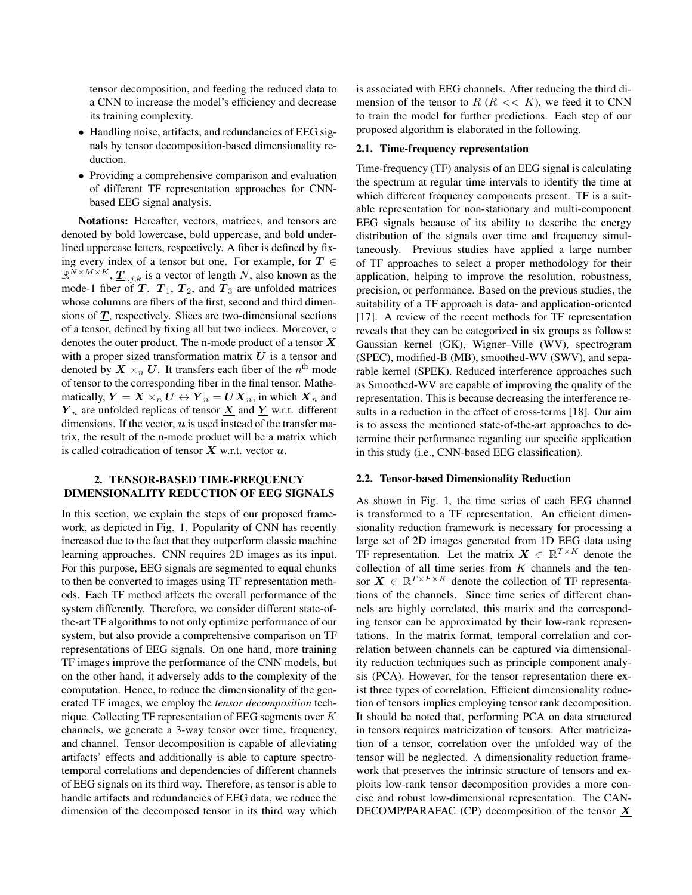tensor decomposition, and feeding the reduced data to a CNN to increase the model's efficiency and decrease its training complexity.

- Handling noise, artifacts, and redundancies of EEG signals by tensor decomposition-based dimensionality reduction.
- Providing a comprehensive comparison and evaluation of different TF representation approaches for CNNbased EEG signal analysis.

Notations: Hereafter, vectors, matrices, and tensors are denoted by bold lowercase, bold uppercase, and bold underlined uppercase letters, respectively. A fiber is defined by fixing every index of a tensor but one. For example, for  $T \in$  $\mathbb{R}^{\bar{N} \times M \times K}$ ,  $\underline{\mathbf{T}}_{:,j,k}$  is a vector of length N, also known as the mode-1 fiber of  $T_1$ ,  $T_2$ , and  $T_3$  are unfolded matrices whose columns are fibers of the first, second and third dimensions of  $T$ , respectively. Slices are two-dimensional sections of a tensor, defined by fixing all but two indices. Moreover, ○ denotes the outer product. The n-mode product of a tensor  $X$ with a proper sized transformation matrix  $U$  is a tensor and denoted by  $\underline{\boldsymbol{X}}\times_n\boldsymbol{U}.$  It transfers each fiber of the  $n^\text{th}$  mode of tensor to the corresponding fiber in the final tensor. Mathematically,  $\underline{Y} = \underline{X} \times_n U \leftrightarrow Y_n = U X_n$ , in which  $X_n$  and  $Y_n$  are unfolded replicas of tensor  $\underline{X}$  and  $\underline{Y}$  w.r.t. different dimensions. If the vector,  $u$  is used instead of the transfer matrix, the result of the n-mode product will be a matrix which is called cotradication of tensor  $X$  w.r.t. vector  $u$ .

## 2. TENSOR-BASED TIME-FREQUENCY DIMENSIONALITY REDUCTION OF EEG SIGNALS

In this section, we explain the steps of our proposed framework, as depicted in Fig. 1. Popularity of CNN has recently increased due to the fact that they outperform classic machine learning approaches. CNN requires 2D images as its input. For this purpose, EEG signals are segmented to equal chunks to then be converted to images using TF representation methods. Each TF method affects the overall performance of the system differently. Therefore, we consider different state-ofthe-art TF algorithms to not only optimize performance of our system, but also provide a comprehensive comparison on TF representations of EEG signals. On one hand, more training TF images improve the performance of the CNN models, but on the other hand, it adversely adds to the complexity of the computation. Hence, to reduce the dimensionality of the generated TF images, we employ the *tensor decomposition* technique. Collecting TF representation of EEG segments over K channels, we generate a 3-way tensor over time, frequency, and channel. Tensor decomposition is capable of alleviating artifacts' effects and additionally is able to capture spectrotemporal correlations and dependencies of different channels of EEG signals on its third way. Therefore, as tensor is able to handle artifacts and redundancies of EEG data, we reduce the dimension of the decomposed tensor in its third way which is associated with EEG channels. After reducing the third dimension of the tensor to  $R$  ( $R \ll K$ ), we feed it to CNN to train the model for further predictions. Each step of our proposed algorithm is elaborated in the following.

### 2.1. Time-frequency representation

Time-frequency (TF) analysis of an EEG signal is calculating the spectrum at regular time intervals to identify the time at which different frequency components present. TF is a suitable representation for non-stationary and multi-component EEG signals because of its ability to describe the energy distribution of the signals over time and frequency simultaneously. Previous studies have applied a large number of TF approaches to select a proper methodology for their application, helping to improve the resolution, robustness, precision, or performance. Based on the previous studies, the suitability of a TF approach is data- and application-oriented [17]. A review of the recent methods for TF representation reveals that they can be categorized in six groups as follows: Gaussian kernel (GK), Wigner–Ville (WV), spectrogram (SPEC), modified-B (MB), smoothed-WV (SWV), and separable kernel (SPEK). Reduced interference approaches such as Smoothed-WV are capable of improving the quality of the representation. This is because decreasing the interference results in a reduction in the effect of cross-terms [18]. Our aim is to assess the mentioned state-of-the-art approaches to determine their performance regarding our specific application in this study (i.e., CNN-based EEG classification).

#### 2.2. Tensor-based Dimensionality Reduction

As shown in Fig. 1, the time series of each EEG channel is transformed to a TF representation. An efficient dimensionality reduction framework is necessary for processing a large set of 2D images generated from 1D EEG data using TF representation. Let the matrix  $\mathbf{X} \in \mathbb{R}^{T \times K}$  denote the collection of all time series from  $K$  channels and the tensor  $\underline{\mathbf{X}} \in \mathbb{R}^{T \times F \times K}$  denote the collection of TF representations of the channels. Since time series of different channels are highly correlated, this matrix and the corresponding tensor can be approximated by their low-rank representations. In the matrix format, temporal correlation and correlation between channels can be captured via dimensionality reduction techniques such as principle component analysis (PCA). However, for the tensor representation there exist three types of correlation. Efficient dimensionality reduction of tensors implies employing tensor rank decomposition. It should be noted that, performing PCA on data structured in tensors requires matricization of tensors. After matricization of a tensor, correlation over the unfolded way of the tensor will be neglected. A dimensionality reduction framework that preserves the intrinsic structure of tensors and exploits low-rank tensor decomposition provides a more concise and robust low-dimensional representation. The CAN-DECOMP/PARAFAC (CP) decomposition of the tensor  $\underline{X}$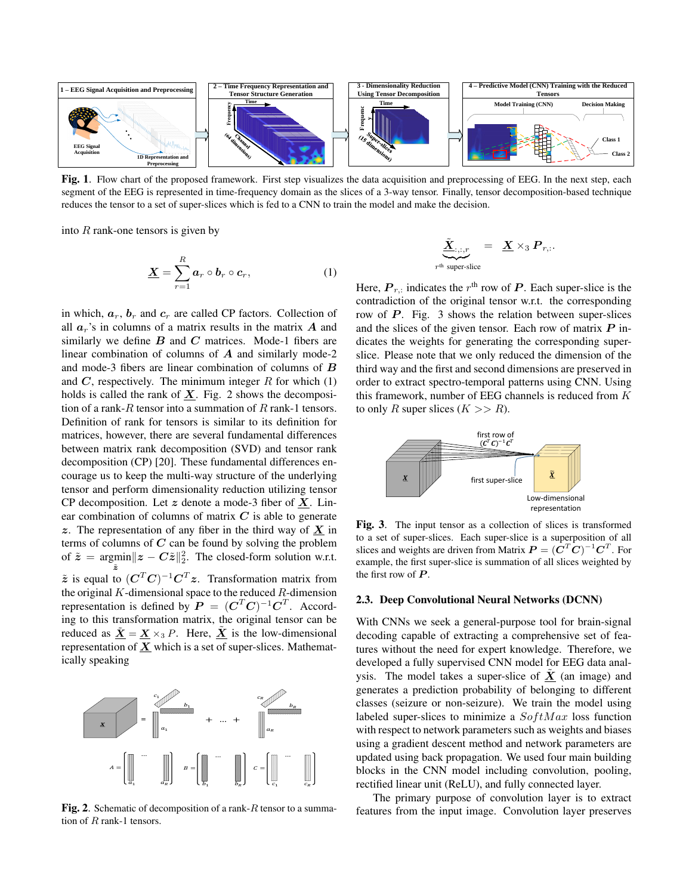

Fig. 1. Flow chart of the proposed framework. First step visualizes the data acquisition and preprocessing of EEG. In the next step, each segment of the EEG is represented in time-frequency domain as the slices of a 3-way tensor. Finally, tensor decomposition-based technique reduces the tensor to a set of super-slices which is fed to a CNN to train the model and make the decision.

into  $R$  rank-one tensors is given by

$$
\underline{\boldsymbol{X}} = \sum_{r=1}^{R} \boldsymbol{a}_r \circ \boldsymbol{b}_r \circ \boldsymbol{c}_r,\tag{1}
$$

in which,  $a_r$ ,  $b_r$  and  $c_r$  are called CP factors. Collection of all  $a_r$ 's in columns of a matrix results in the matrix A and similarly we define  $B$  and  $C$  matrices. Mode-1 fibers are linear combination of columns of  $A$  and similarly mode-2 and mode-3 fibers are linear combination of columns of B and  $C$ , respectively. The minimum integer  $R$  for which  $(1)$ holds is called the rank of  $\underline{X}$ . Fig. 2 shows the decomposition of a rank-R tensor into a summation of R rank-1 tensors. Definition of rank for tensors is similar to its definition for matrices, however, there are several fundamental differences between matrix rank decomposition (SVD) and tensor rank decomposition (CP) [20]. These fundamental differences encourage us to keep the multi-way structure of the underlying tensor and perform dimensionality reduction utilizing tensor CP decomposition. Let z denote a mode-3 fiber of  $\underline{X}$ . Linear combination of columns of matrix  $C$  is able to generate  $z$ . The representation of any fiber in the third way of  $X$  in terms of columns of  $C$  can be found by solving the problem of  $\tilde{z} = \text{argmin} \|z - C\tilde{z}\|_2^2$ . The closed-form solution w.r.t.  $\tilde{\mathbf{z}}$  $\tilde{z}$  is equal to  $(C^T C)^{-1} C^T z$ . Transformation matrix from the original  $K$ -dimensional space to the reduced  $R$ -dimension representation is defined by  $P = (C^T C)^{-1} C^T$ . According to this transformation matrix, the original tensor can be reduced as  $\tilde{\mathbf{X}} = \mathbf{X} \times_3 P$ . Here,  $\tilde{\mathbf{X}}$  is the low-dimensional representation of  $\underline{X}$  which is a set of super-slices. Mathemat-



ically speaking

Fig. 2. Schematic of decomposition of a rank- $R$  tensor to a summation of R rank-1 tensors.

$$
\underbrace{\tilde{\mathbf{X}}_{:,:,r}}_{r^{\text{th}} \text{ super-slice}} = \mathbf{X} \times_3 \mathbf{P}_{r,:}.
$$

Here,  $P_{r,:}$  indicates the  $r<sup>th</sup>$  row of P. Each super-slice is the contradiction of the original tensor w.r.t. the corresponding row of  $P$ . Fig. 3 shows the relation between super-slices and the slices of the given tensor. Each row of matrix  $P$  indicates the weights for generating the corresponding superslice. Please note that we only reduced the dimension of the third way and the first and second dimensions are preserved in order to extract spectro-temporal patterns using CNN. Using this framework, number of EEG channels is reduced from K to only R super slices  $(K \gg R)$ .



Fig. 3. The input tensor as a collection of slices is transformed to a set of super-slices. Each super-slice is a superposition of all slices and weights are driven from Matrix  $\boldsymbol{P} = (\boldsymbol{C}^T \boldsymbol{C})^{-1} \boldsymbol{C}^T$ . For example, the first super-slice is summation of all slices weighted by the first row of  $P$ .

#### 2.3. Deep Convolutional Neural Networks (DCNN)

With CNNs we seek a general-purpose tool for brain-signal decoding capable of extracting a comprehensive set of features without the need for expert knowledge. Therefore, we developed a fully supervised CNN model for EEG data analysis. The model takes a super-slice of  $X$  (an image) and generates a prediction probability of belonging to different classes (seizure or non-seizure). We train the model using labeled super-slices to minimize a  $SoftMax$  loss function with respect to network parameters such as weights and biases using a gradient descent method and network parameters are updated using back propagation. We used four main building blocks in the CNN model including convolution, pooling, rectified linear unit (ReLU), and fully connected layer.

The primary purpose of convolution layer is to extract features from the input image. Convolution layer preserves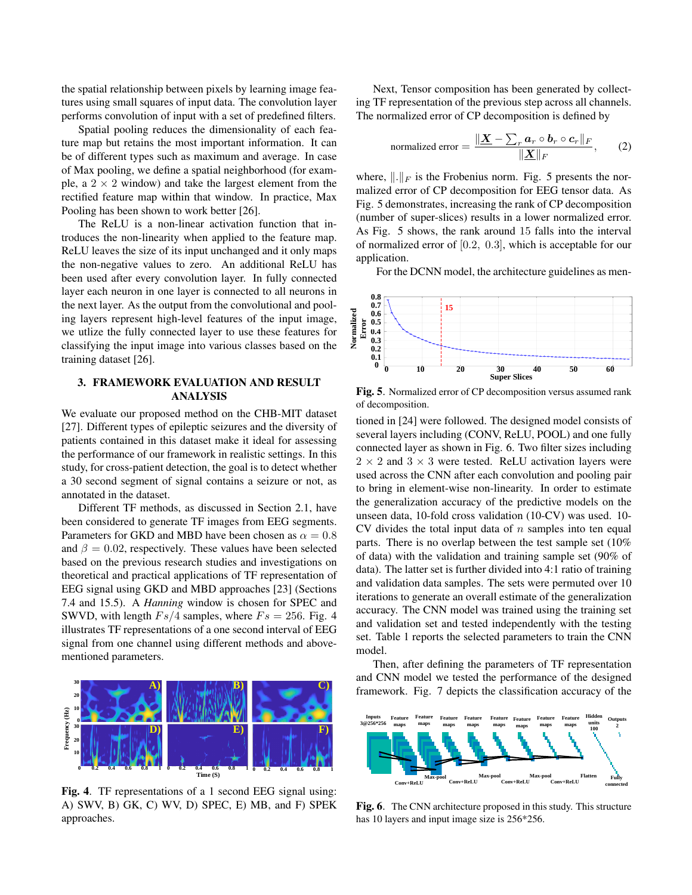the spatial relationship between pixels by learning image features using small squares of input data. The convolution layer performs convolution of input with a set of predefined filters.

Spatial pooling reduces the dimensionality of each feature map but retains the most important information. It can be of different types such as maximum and average. In case of Max pooling, we define a spatial neighborhood (for example, a  $2 \times 2$  window) and take the largest element from the rectified feature map within that window. In practice, Max Pooling has been shown to work better [26].

The ReLU is a non-linear activation function that introduces the non-linearity when applied to the feature map. ReLU leaves the size of its input unchanged and it only maps the non-negative values to zero. An additional ReLU has been used after every convolution layer. In fully connected layer each neuron in one layer is connected to all neurons in the next layer. As the output from the convolutional and pooling layers represent high-level features of the input image, we utlize the fully connected layer to use these features for classifying the input image into various classes based on the training dataset [26].

### 3. FRAMEWORK EVALUATION AND RESULT ANALYSIS

We evaluate our proposed method on the CHB-MIT dataset [27]. Different types of epileptic seizures and the diversity of patients contained in this dataset make it ideal for assessing the performance of our framework in realistic settings. In this study, for cross-patient detection, the goal is to detect whether a 30 second segment of signal contains a seizure or not, as annotated in the dataset.

Different TF methods, as discussed in Section 2.1, have been considered to generate TF images from EEG segments. Parameters for GKD and MBD have been chosen as  $\alpha = 0.8$ and  $\beta = 0.02$ , respectively. These values have been selected based on the previous research studies and investigations on theoretical and practical applications of TF representation of EEG signal using GKD and MBD approaches [23] (Sections 7.4 and 15.5). A *Hanning* window is chosen for SPEC and SWVD, with length  $Fs/4$  samples, where  $Fs = 256$ . Fig. 4 illustrates TF representations of a one second interval of EEG signal from one channel using different methods and abovementioned parameters.



Fig. 4. TF representations of a 1 second EEG signal using: A) SWV, B) GK, C) WV, D) SPEC, E) MB, and F) SPEK approaches.

Next, Tensor composition has been generated by collecting TF representation of the previous step across all channels. The normalized error of CP decomposition is defined by

$$
\text{normalized error} = \frac{\|\underline{\boldsymbol{X}} - \sum_r \boldsymbol{a}_r \circ \boldsymbol{b}_r \circ \boldsymbol{c}_r\|_F}{\|\underline{\boldsymbol{X}}\|_F},\qquad(2)
$$

where,  $\Vert . \Vert_F$  is the Frobenius norm. Fig. 5 presents the normalized error of CP decomposition for EEG tensor data. As Fig. 5 demonstrates, increasing the rank of CP decomposition (number of super-slices) results in a lower normalized error. As Fig. 5 shows, the rank around 15 falls into the interval of normalized error of [0.2, 0.3], which is acceptable for our application.

For the DCNN model, the architecture guidelines as men-



Fig. 5. Normalized error of CP decomposition versus assumed rank of decomposition.

tioned in [24] were followed. The designed model consists of several layers including (CONV, ReLU, POOL) and one fully connected layer as shown in Fig. 6. Two filter sizes including  $2 \times 2$  and  $3 \times 3$  were tested. ReLU activation layers were used across the CNN after each convolution and pooling pair to bring in element-wise non-linearity. In order to estimate the generalization accuracy of the predictive models on the unseen data, 10-fold cross validation (10-CV) was used. 10- CV divides the total input data of  $n$  samples into ten equal parts. There is no overlap between the test sample set (10% of data) with the validation and training sample set (90% of data). The latter set is further divided into 4:1 ratio of training and validation data samples. The sets were permuted over 10 iterations to generate an overall estimate of the generalization accuracy. The CNN model was trained using the training set and validation set and tested independently with the testing set. Table 1 reports the selected parameters to train the CNN model.

Then, after defining the parameters of TF representation and CNN model we tested the performance of the designed framework. Fig. 7 depicts the classification accuracy of the



Fig. 6. The CNN architecture proposed in this study. This structure has 10 layers and input image size is 256\*256.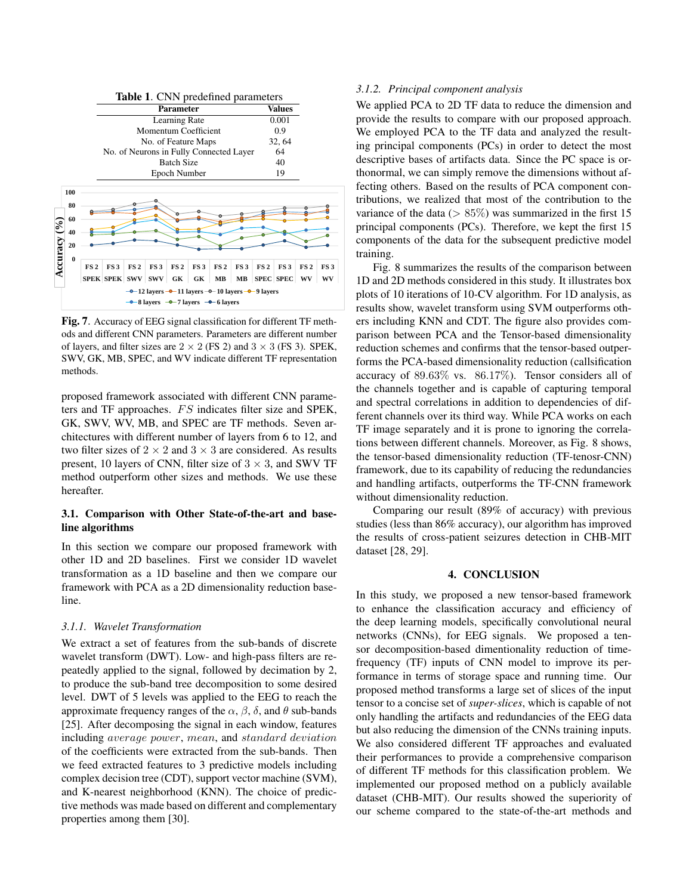

Fig. 7. Accuracy of EEG signal classification for different TF methods and different CNN parameters. Parameters are different number of layers, and filter sizes are  $2 \times 2$  (FS 2) and  $3 \times 3$  (FS 3). SPEK, SWV, GK, MB, SPEC, and WV indicate different TF representation methods.

proposed framework associated with different CNN parameters and TF approaches.  $FS$  indicates filter size and SPEK, GK, SWV, WV, MB, and SPEC are TF methods. Seven architectures with different number of layers from 6 to 12, and two filter sizes of  $2 \times 2$  and  $3 \times 3$  are considered. As results present, 10 layers of CNN, filter size of  $3 \times 3$ , and SWV TF method outperform other sizes and methods. We use these hereafter.

## 3.1. Comparison with Other State-of-the-art and baseline algorithms

In this section we compare our proposed framework with other 1D and 2D baselines. First we consider 1D wavelet transformation as a 1D baseline and then we compare our framework with PCA as a 2D dimensionality reduction baseline.

### *3.1.1. Wavelet Transformation*

We extract a set of features from the sub-bands of discrete wavelet transform (DWT). Low- and high-pass filters are repeatedly applied to the signal, followed by decimation by 2, to produce the sub-band tree decomposition to some desired level. DWT of 5 levels was applied to the EEG to reach the approximate frequency ranges of the  $\alpha$ ,  $\beta$ ,  $\delta$ , and  $\theta$  sub-bands [25]. After decomposing the signal in each window, features including average power, mean, and standard deviation of the coefficients were extracted from the sub-bands. Then we feed extracted features to 3 predictive models including complex decision tree (CDT), support vector machine (SVM), and K-nearest neighborhood (KNN). The choice of predictive methods was made based on different and complementary properties among them [30].

#### *3.1.2. Principal component analysis*

We applied PCA to 2D TF data to reduce the dimension and provide the results to compare with our proposed approach. We employed PCA to the TF data and analyzed the resulting principal components (PCs) in order to detect the most descriptive bases of artifacts data. Since the PC space is orthonormal, we can simply remove the dimensions without affecting others. Based on the results of PCA component contributions, we realized that most of the contribution to the variance of the data ( $> 85\%$ ) was summarized in the first 15 principal components (PCs). Therefore, we kept the first 15 components of the data for the subsequent predictive model training.

Fig. 8 summarizes the results of the comparison between 1D and 2D methods considered in this study. It illustrates box plots of 10 iterations of 10-CV algorithm. For 1D analysis, as results show, wavelet transform using SVM outperforms others including KNN and CDT. The figure also provides comparison between PCA and the Tensor-based dimensionality reduction schemes and confirms that the tensor-based outperforms the PCA-based dimensionality reduction (callsification accuracy of 89.63% vs. 86.17%). Tensor considers all of the channels together and is capable of capturing temporal and spectral correlations in addition to dependencies of different channels over its third way. While PCA works on each TF image separately and it is prone to ignoring the correlations between different channels. Moreover, as Fig. 8 shows, the tensor-based dimensionality reduction (TF-tenosr-CNN) framework, due to its capability of reducing the redundancies and handling artifacts, outperforms the TF-CNN framework without dimensionality reduction.

Comparing our result (89% of accuracy) with previous studies (less than 86% accuracy), our algorithm has improved the results of cross-patient seizures detection in CHB-MIT dataset [28, 29].

#### 4. CONCLUSION

In this study, we proposed a new tensor-based framework to enhance the classification accuracy and efficiency of the deep learning models, specifically convolutional neural networks (CNNs), for EEG signals. We proposed a tensor decomposition-based dimentionality reduction of timefrequency (TF) inputs of CNN model to improve its performance in terms of storage space and running time. Our proposed method transforms a large set of slices of the input tensor to a concise set of *super-slices*, which is capable of not only handling the artifacts and redundancies of the EEG data but also reducing the dimension of the CNNs training inputs. We also considered different TF approaches and evaluated their performances to provide a comprehensive comparison of different TF methods for this classification problem. We implemented our proposed method on a publicly available dataset (CHB-MIT). Our results showed the superiority of our scheme compared to the state-of-the-art methods and